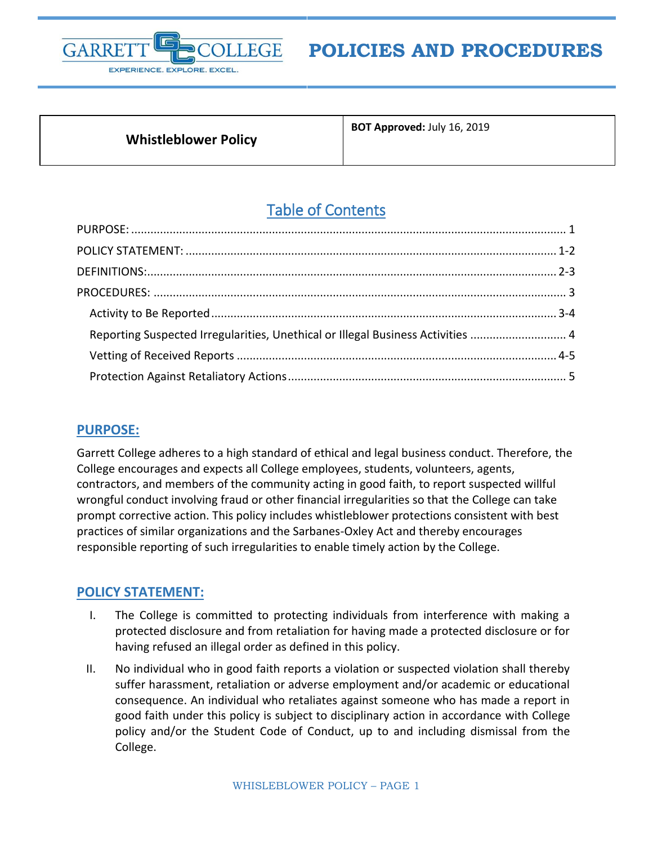

# **POLICIES AND PROCEDURES**

## **Whistleblower Policy**

**BOT Approved:** July 16, 2019

## Table of Contents

| Reporting Suspected Irregularities, Unethical or Illegal Business Activities  4 |  |
|---------------------------------------------------------------------------------|--|
|                                                                                 |  |
|                                                                                 |  |

## <span id="page-0-0"></span>**PURPOSE:**

Garrett College adheres to a high standard of ethical and legal business conduct. Therefore, the College encourages and expects all College employees, students, volunteers, agents, contractors, and members of the community acting in good faith, to report suspected willful wrongful conduct involving fraud or other financial irregularities so that the College can take prompt corrective action. This policy includes whistleblower protections consistent with best practices of similar organizations and the Sarbanes-Oxley Act and thereby encourages responsible reporting of such irregularities to enable timely action by the College.

## <span id="page-0-1"></span>**POLICY STATEMENT:**

- I. The College is committed to protecting individuals from interference with making a protected disclosure and from retaliation for having made a protected disclosure or for having refused an illegal order as defined in this policy.
- II. No individual who in good faith reports a violation or suspected violation shall thereby suffer harassment, retaliation or adverse employment and/or academic or educational consequence. An individual who retaliates against someone who has made a report in good faith under this policy is subject to disciplinary action in accordance with College policy and/or the Student Code of Conduct, up to and including dismissal from the College.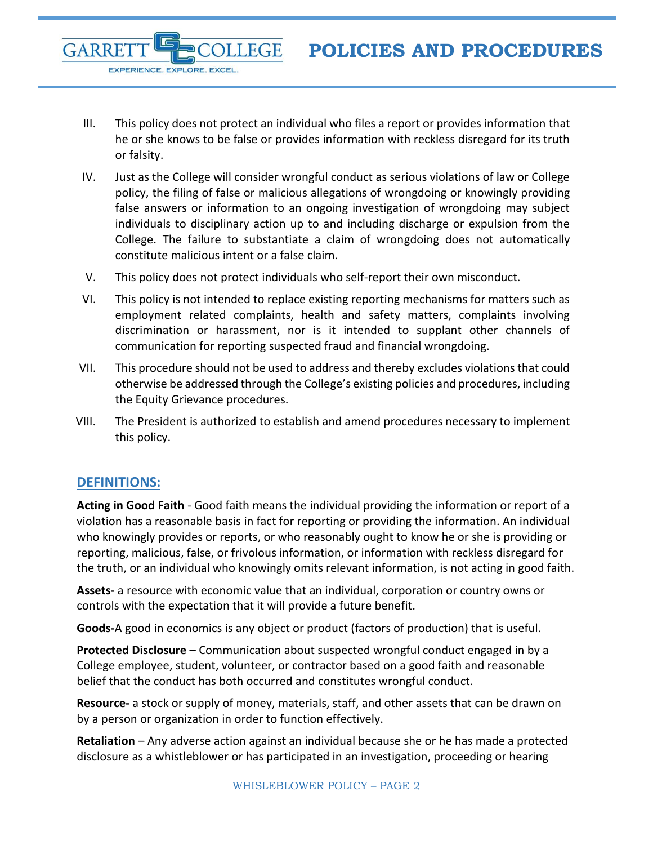- III. This policy does not protect an individual who files a report or provides information that he or she knows to be false or provides information with reckless disregard for its truth or falsity.
- IV. Just as the College will consider wrongful conduct as serious violations of law or College policy, the filing of false or malicious allegations of wrongdoing or knowingly providing false answers or information to an ongoing investigation of wrongdoing may subject individuals to disciplinary action up to and including discharge or expulsion from the College. The failure to substantiate a claim of wrongdoing does not automatically constitute malicious intent or a false claim.
- V. This policy does not protect individuals who self-report their own misconduct.
- VI. This policy is not intended to replace existing reporting mechanisms for matters such as employment related complaints, health and safety matters, complaints involving discrimination or harassment, nor is it intended to supplant other channels of communication for reporting suspected fraud and financial wrongdoing.
- VII. This procedure should not be used to address and thereby excludes violations that could otherwise be addressed through the College's existing policies and procedures, including the Equity Grievance procedures.
- VIII. The President is authorized to establish and amend procedures necessary to implement this policy.

## <span id="page-1-0"></span>**DEFINITIONS:**

**GARRE** 

EXPERIENCE. EXPLORE. EXCEL.

**Acting in Good Faith** - Good faith means the individual providing the information or report of a violation has a reasonable basis in fact for reporting or providing the information. An individual who knowingly provides or reports, or who reasonably ought to know he or she is providing or reporting, malicious, false, or frivolous information, or information with reckless disregard for the truth, or an individual who knowingly omits relevant information, is not acting in good faith.

**Assets-** a resource with economic value that an individual, corporation or country owns or controls with the expectation that it will provide a future benefit.

**Goods-**A good in economics is any object or product (factors of production) that is useful.

**Protected Disclosure** – Communication about suspected wrongful conduct engaged in by a College employee, student, volunteer, or contractor based on a good faith and reasonable belief that the conduct has both occurred and constitutes wrongful conduct.

**Resource-** a stock or supply of money, materials, staff, and other assets that can be drawn on by a person or organization in order to function effectively.

**Retaliation** – Any adverse action against an individual because she or he has made a protected disclosure as a whistleblower or has participated in an investigation, proceeding or hearing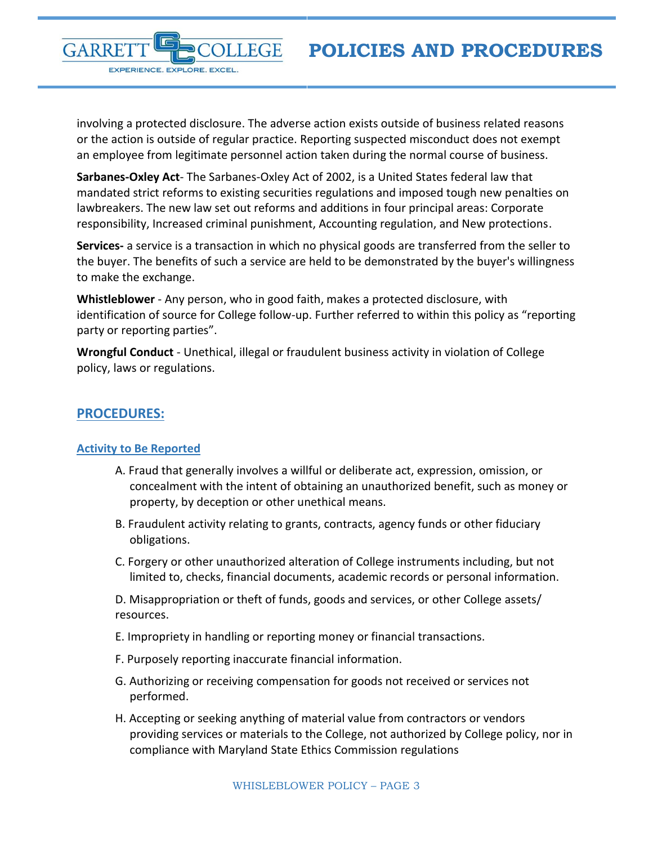GARRE EXPERIENCE. EXPLORE. EXCEL.

involving a protected disclosure. The adverse action exists outside of business related reasons or the action is outside of regular practice. Reporting suspected misconduct does not exempt an employee from legitimate personnel action taken during the normal course of business.

**Sarbanes-Oxley Act**- The Sarbanes-Oxley Act of 2002, is a United States federal law that mandated strict reforms to existing securities regulations and imposed tough new penalties on lawbreakers. The new law set out reforms and additions in four principal areas: Corporate responsibility, Increased criminal punishment, Accounting regulation, and New protections.

**Services-** a service is a transaction in which no physical goods are transferred from the seller to the buyer. The benefits of such a service are held to be demonstrated by the buyer's willingness to make the exchange.

**Whistleblower** - Any person, who in good faith, makes a protected disclosure, with identification of source for College follow-up. Further referred to within this policy as "reporting party or reporting parties".

**Wrongful Conduct** - Unethical, illegal or fraudulent business activity in violation of College policy, laws or regulations.

## <span id="page-2-0"></span>**PROCEDURES:**

## <span id="page-2-1"></span>**Activity to Be Reported**

- A. Fraud that generally involves a willful or deliberate act, expression, omission, or concealment with the intent of obtaining an unauthorized benefit, such as money or property, by deception or other unethical means.
- B. Fraudulent activity relating to grants, contracts, agency funds or other fiduciary obligations.
- C. Forgery or other unauthorized alteration of College instruments including, but not limited to, checks, financial documents, academic records or personal information.

D. Misappropriation or theft of funds, goods and services, or other College assets/ resources.

- E. Impropriety in handling or reporting money or financial transactions.
- F. Purposely reporting inaccurate financial information.
- G. Authorizing or receiving compensation for goods not received or services not performed.
- H. Accepting or seeking anything of material value from contractors or vendors providing services or materials to the College, not authorized by College policy, nor in compliance with Maryland State Ethics Commission regulations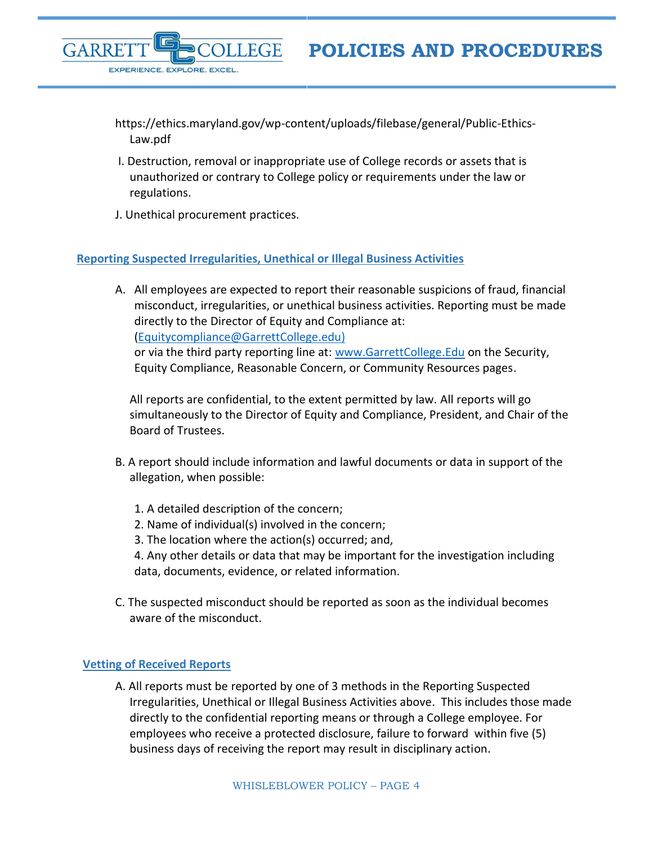

**POLICIES AND PROCEDURES**

- https://ethics.maryland.gov/wp-content/uploads/filebase/general/Public-Ethics-Law.pdf
- I. Destruction, removal or inappropriate use of College records or assets that is unauthorized or contrary to College policy or requirements under the law or regulations.
- J. Unethical procurement practices.

#### <span id="page-3-0"></span>**Reporting Suspected Irregularities, Unethical or Illegal Business Activities**

A. All employees are expected to report their reasonable suspicions of fraud, financial misconduct, irregularities, or unethical business activities. Reporting must be made directly to the Director of Equity and Compliance at: [\(Equitycompliance@GarrettCollege.edu\)](mailto:Equitycompliance@GarrettCollege.edu)

or via the third party reporting line at: [www.GarrettCollege.Edu](http://www.garrettcollege.edu/) on the Security, Equity Compliance, Reasonable Concern, or Community Resources pages.

All reports are confidential, to the extent permitted by law. All reports will go simultaneously to the Director of Equity and Compliance, President, and Chair of the Board of Trustees.

- B. A report should include information and lawful documents or data in support of the allegation, when possible:
	- 1. A detailed description of the concern;
	- 2. Name of individual(s) involved in the concern;
	- 3. The location where the action(s) occurred; and,

4. Any other details or data that may be important for the investigation including data, documents, evidence, or related information.

C. The suspected misconduct should be reported as soon as the individual becomes aware of the misconduct.

#### <span id="page-3-1"></span>**Vetting of Received Reports**

A. All reports must be reported by one of 3 methods in the Reporting Suspected Irregularities, Unethical or Illegal Business Activities above. This includes those made directly to the confidential reporting means or through a College employee. For employees who receive a protected disclosure, failure to forward within five (5) business days of receiving the report may result in disciplinary action.